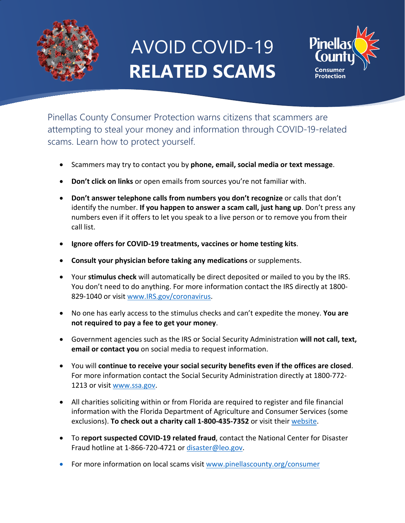

# AVOID COVID-19 **RELATED SCAMS**



Pinellas County Consumer Protection warns citizens that scammers are attempting to steal your money and information through COVID-19-related scams. Learn how to protect yourself.

- Scammers may try to contact you by **phone, email, social media or text message**.
- **Don't click on links** or open emails from sources you're not familiar with.
- **Don't answer telephone calls from numbers you don't recognize** or calls that don't identify the number. **If you happen to answer a scam call, just hang up**. Don't press any numbers even if it offers to let you speak to a live person or to remove you from their call list.
- **Ignore offers for COVID-19 treatments, vaccines or home testing kits**.
- **Consult your physician before taking any medications** or supplements.
- Your **stimulus check** will automatically be direct deposited or mailed to you by the IRS. You don't need to do anything. For more information contact the IRS directly at 1800-829-1040 or visit [www.IRS.gov/coronavirus.](http://www.irs.gov/coronavirus)
- No one has early access to the stimulus checks and can't expedite the money. **You are not required to pay a fee to get your money**.
- Government agencies such as the IRS or Social Security Administration **will not call, text, email or contact you** on social media to request information.
- You will **continue to receive your social security benefits even if the offices are closed**. For more information contact the Social Security Administration directly at 1800-772- 1213 or visit [www.ssa.gov.](http://www.ssa.gov/)
- All charities soliciting within or from Florida are required to register and file financial information with the Florida Department of Agriculture and Consumer Services (some exclusions). **To check out a charity call 1-800-435-7352** or visit their [website.](https://csapp.800helpfla.com/CSPublicApp/CheckACharity/CheckACharity.aspx)
- To **report suspected COVID-19 related fraud**, contact the National Center for Disaster Fraud hotline at 1-866-720-4721 or [disaster@leo.gov.](mailto:disaster@leo.gov)
- For more information on local scams visit [www.pinellascounty.org/consumer](http://www.pinellascounty.org/consumer)